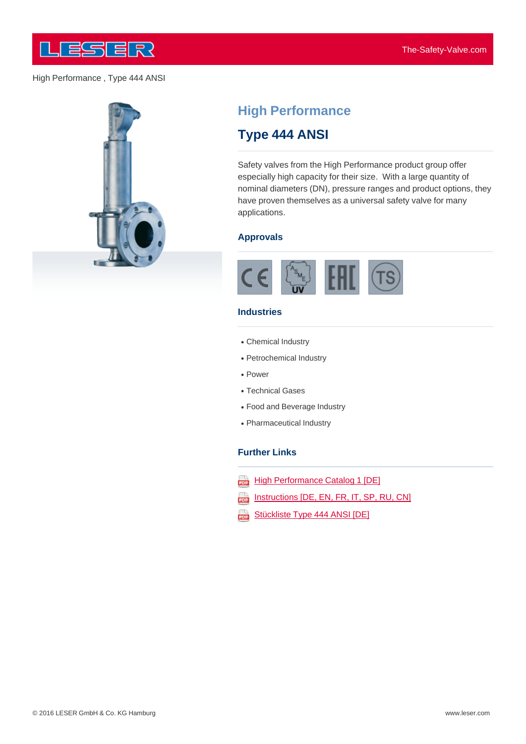

### High Performance , Type 444 ANSI



# **High Performance**

# **Type 444 ANSI**

Safety valves from the High Performance product group offer especially high capacity for their size. With a large quantity of nominal diameters (DN), pressure ranges and product options, they have proven themselves as a universal safety valve for many applications.

#### **Approvals**



#### **Industries**

- Chemical Industry
- Petrochemical Industry
- Power
- Technical Gases
- Food and Beverage Industry
- Pharmaceutical Industry

### **Further Links**

- **High Performance Catalog 1 [DE]** ana)
- Instructions [DE, EN, FR, IT, SP, RU, CN] ψ
- Stückliste Type 444 ANSI [DE] aaa)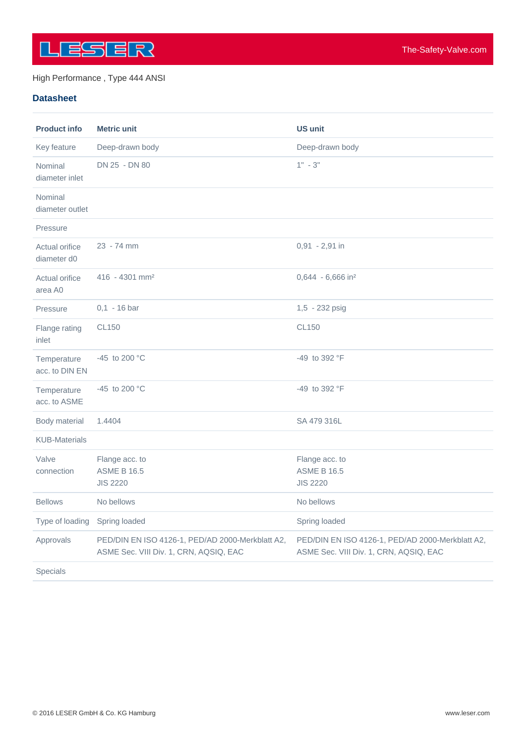

## High Performance , Type 444 ANSI

## **Datasheet**

| <b>Product info</b>           | <b>Metric unit</b>                                                                         | <b>US unit</b>                                                                             |
|-------------------------------|--------------------------------------------------------------------------------------------|--------------------------------------------------------------------------------------------|
| Key feature                   | Deep-drawn body                                                                            | Deep-drawn body                                                                            |
| Nominal<br>diameter inlet     | DN 25 - DN 80                                                                              | $1" - 3"$                                                                                  |
| Nominal<br>diameter outlet    |                                                                                            |                                                                                            |
| Pressure                      |                                                                                            |                                                                                            |
| Actual orifice<br>diameter d0 | 23 - 74 mm                                                                                 | $0,91 - 2,91$ in                                                                           |
| Actual orifice<br>area A0     | $416 - 4301$ mm <sup>2</sup>                                                               | 0,644 - 6,666 in <sup>2</sup>                                                              |
| Pressure                      | $0,1 - 16$ bar                                                                             | 1,5 - 232 psig                                                                             |
| Flange rating<br>inlet        | <b>CL150</b>                                                                               | <b>CL150</b>                                                                               |
| Temperature<br>acc. to DIN EN | -45 to 200 $^{\circ}$ C                                                                    | -49 to 392 °F                                                                              |
| Temperature<br>acc. to ASME   | -45 to 200 $^{\circ}$ C                                                                    | -49 to 392 °F                                                                              |
| Body material                 | 1.4404                                                                                     | SA 479 316L                                                                                |
| <b>KUB-Materials</b>          |                                                                                            |                                                                                            |
| Valve<br>connection           | Flange acc. to<br><b>ASME B 16.5</b><br><b>JIS 2220</b>                                    | Flange acc. to<br><b>ASME B 16.5</b><br><b>JIS 2220</b>                                    |
| <b>Bellows</b>                | No bellows                                                                                 | No bellows                                                                                 |
| Type of loading               | Spring loaded                                                                              | Spring loaded                                                                              |
| Approvals                     | PED/DIN EN ISO 4126-1, PED/AD 2000-Merkblatt A2,<br>ASME Sec. VIII Div. 1, CRN, AQSIQ, EAC | PED/DIN EN ISO 4126-1, PED/AD 2000-Merkblatt A2,<br>ASME Sec. VIII Div. 1, CRN, AQSIQ, EAC |
| Specials                      |                                                                                            |                                                                                            |